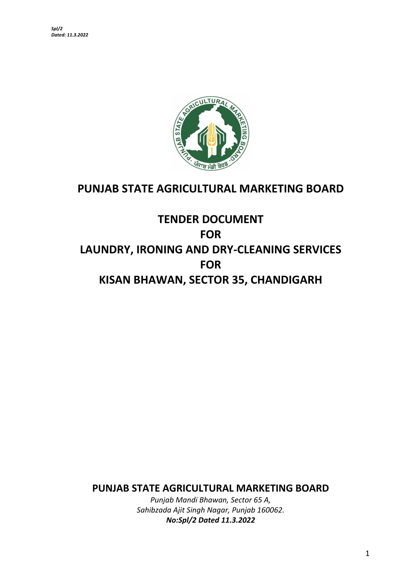

## **PUNJAB STATE AGRICULTURAL MARKETING BOARD**

# **TENDER DOCUMENT FOR LAUNDRY, IRONING AND DRY-CLEANING SERVICES FOR KISAN BHAWAN, SECTOR 35, CHANDIGARH**

**PUNJAB STATE AGRICULTURAL MARKETING BOARD**

*Punjab Mandi Bhawan, Sector 65 A, Sahibzada Ajit Singh Nagar, Punjab 160062. No:Spl/2 Dated 11.3.2022*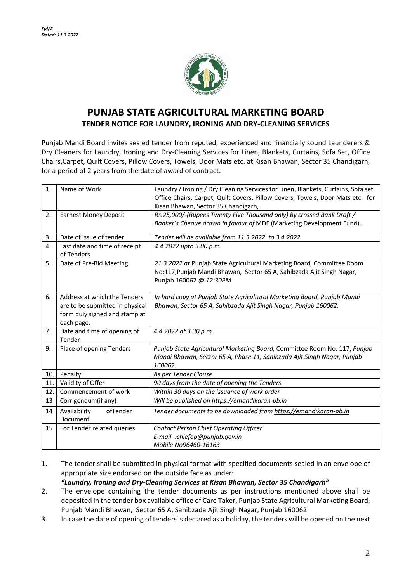

## **PUNJAB STATE AGRICULTURAL MARKETING BOARD TENDER NOTICE FOR LAUNDRY, IRONING AND DRY-CLEANING SERVICES**

Punjab Mandi Board invites sealed tender from reputed, experienced and financially sound Launderers & Dry Cleaners for Laundry, Ironing and Dry-Cleaning Services for Linen, Blankets, Curtains, Sofa Set, Office Chairs,Carpet, Quilt Covers, Pillow Covers, Towels, Door Mats etc. at Kisan Bhawan, Sector 35 Chandigarh, for a period of 2 years from the date of award of contract.

| 1.  | Name of Work                                                                                                   | Laundry / Ironing / Dry Cleaning Services for Linen, Blankets, Curtains, Sofa set,<br>Office Chairs, Carpet, Quilt Covers, Pillow Covers, Towels, Door Mats etc. for<br>Kisan Bhawan, Sector 35 Chandigarh, |  |
|-----|----------------------------------------------------------------------------------------------------------------|-------------------------------------------------------------------------------------------------------------------------------------------------------------------------------------------------------------|--|
| 2.  | <b>Earnest Money Deposit</b>                                                                                   | Rs.25,000/-(Rupees Twenty Five Thousand only) by crossed Bank Draft /<br>Banker's Cheque drawn in favour of MDF (Marketing Development Fund).                                                               |  |
| 3.  | Date of issue of tender                                                                                        | Tender will be available from 11.3.2022 to 3.4.2022                                                                                                                                                         |  |
| 4.  | Last date and time of receipt<br>of Tenders                                                                    | 4.4.2022 upto 3.00 p.m.                                                                                                                                                                                     |  |
| 5.  | Date of Pre-Bid Meeting                                                                                        | 21.3.2022 at Punjab State Agricultural Marketing Board, Committee Room<br>No:117, Punjab Mandi Bhawan, Sector 65 A, Sahibzada Ajit Singh Nagar,<br>Punjab 160062 @ 12:30PM                                  |  |
| 6.  | Address at which the Tenders<br>are to be submitted in physical<br>form duly signed and stamp at<br>each page. | In hard copy at Punjab State Agricultural Marketing Board, Punjab Mandi<br>Bhawan, Sector 65 A, Sahibzada Ajit Singh Nagar, Punjab 160062.                                                                  |  |
| 7.  | Date and time of opening of<br>Tender                                                                          | 4.4.2022 at 3.30 p.m.                                                                                                                                                                                       |  |
| 9.  | Place of opening Tenders                                                                                       | Punjab State Agricultural Marketing Board, Committee Room No: 117, Punjab<br>Mandi Bhawan, Sector 65 A, Phase 11, Sahibzada Ajit Singh Nagar, Punjab<br>160062.                                             |  |
| 10. | Penalty                                                                                                        | As per Tender Clause                                                                                                                                                                                        |  |
| 11. | Validity of Offer                                                                                              | 90 days from the date of opening the Tenders.                                                                                                                                                               |  |
| 12. | Commencement of work                                                                                           | Within 30 days on the issuance of work order                                                                                                                                                                |  |
| 13  | Corrigendum(if any)                                                                                            | Will be published on https://emandikaran-pb.in                                                                                                                                                              |  |
| 14  | Availability<br>ofTender<br>Document                                                                           | Tender documents to be downloaded from https://emandikaran-pb.in                                                                                                                                            |  |
| 15  | For Tender related queries                                                                                     | <b>Contact Person Chief Operating Officer</b><br>E-mail :chiefop@punjab.gov.in<br>Mobile No96460-16163                                                                                                      |  |

1. The tender shall be submitted in physical format with specified documents sealed in an envelope of appropriate size endorsed on the outside face as under:

*"Laundry, Ironing and Dry-Cleaning Services at Kisan Bhawan, Sector 35 Chandigarh"*

- 2. The envelope containing the tender documents as per instructions mentioned above shall be deposited in the tender box available office of Care Taker, Punjab State Agricultural Marketing Board, Punjab Mandi Bhawan, Sector 65 A, Sahibzada Ajit Singh Nagar, Punjab 160062
- 3. In case the date of opening of tenders is declared as a holiday, the tenders will be opened on the next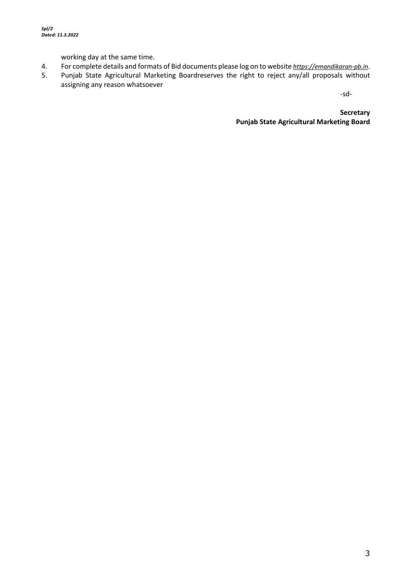working day at the same time.

- 4. For complete details and formats of Bid documents please log on to website *https://emandikaran-pb.in*.
- 5. Punjab State Agricultural Marketing Boardreserves the right to reject any/all proposals without assigning any reason whatsoever

-sd-

**Secretary Punjab State Agricultural Marketing Board**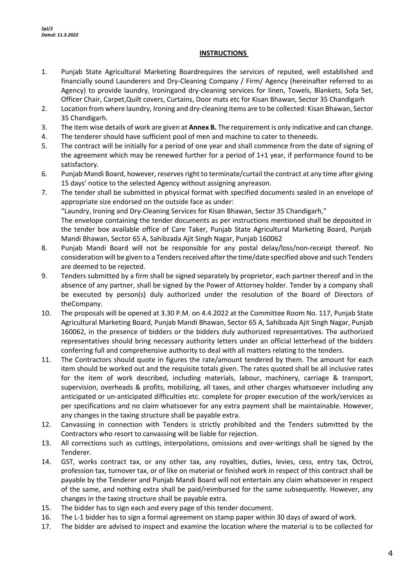#### **INSTRUCTIONS**

- 1. Punjab State Agricultural Marketing Boardrequires the services of reputed, well established and financially sound Launderers and Dry-Cleaning Company / Firm/ Agency (hereinafter referred to as Agency) to provide laundry, Ironingand dry-cleaning services for linen, Towels, Blankets, Sofa Set, Officer Chair, Carpet,Quilt covers, Curtains, Door mats etc for Kisan Bhawan, Sector 35 Chandigarh
- 2. Location from where laundry, Ironing and dry-cleaning items are to be collected: Kisan Bhawan, Sector 35 Chandigarh.
- 3. The item wise details of work are given at **Annex B.** The requirement is only indicative and can change.
- 4. The tenderer should have sufficient pool of men and machine to cater to theneeds.
- 5. The contract will be initially for a period of one year and shall commence from the date of signing of the agreement which may be renewed further for a period of 1+1 year, if performance found to be satisfactory.
- 6. Punjab Mandi Board, however, reserves right to terminate/curtail the contract at any time after giving 15 days' notice to the selected Agency without assigning anyreason.
- 7. The tender shall be submitted in physical format with specified documents sealed in an envelope of appropriate size endorsed on the outside face as under: "Laundry, Ironing and Dry-Cleaning Services for Kisan Bhawan, Sector 35 Chandigarh," The envelope containing the tender documents as per instructions mentioned shall be deposited in the tender box available office of Care Taker, Punjab State Agricultural Marketing Board, Punjab Mandi Bhawan, Sector 65 A, Sahibzada Ajit Singh Nagar, Punjab 160062
- 8. Punjab Mandi Board will not be responsible for any postal delay/loss/non-receipt thereof. No consideration will be given to a Tenders received after the time/date specified above and such Tenders are deemed to be rejected.
- 9. Tenders submitted by a firm shall be signed separately by proprietor, each partner thereof and in the absence of any partner, shall be signed by the Power of Attorney holder. Tender by a company shall be executed by person(s) duly authorized under the resolution of the Board of Directors of theCompany.
- 10. The proposals will be opened at 3.30 P.M. on 4.4.2022 at the Committee Room No. 117, Punjab State Agricultural Marketing Board, Punjab Mandi Bhawan, Sector 65 A, Sahibzada Ajit Singh Nagar, Punjab 160062, in the presence of bidders or the bidders duly authorized representatives. The authorized representatives should bring necessary authority letters under an official letterhead of the bidders conferring full and comprehensive authority to deal with all matters relating to the tenders.
- 11. The Contractors should quote in figures the rate/amount tendered by them. The amount for each item should be worked out and the requisite totals given. The rates quoted shall be all inclusive rates for the item of work described, including materials, labour, machinery, carriage & transport, supervision, overheads & profits, mobilizing, all taxes, and other charges whatsoever including any anticipated or un-anticipated difficulties etc. complete for proper execution of the work/services as per specifications and no claim whatsoever for any extra payment shall be maintainable. However, any changes in the taxing structure shall be payable extra.
- 12. Canvassing in connection with Tenders is strictly prohibited and the Tenders submitted by the Contractors who resort to canvassing will be liable for rejection.
- 13. All corrections such as cuttings, interpolations, omissions and over-writings shall be signed by the Tenderer.
- 14. GST, works contract tax, or any other tax, any royalties, duties, levies, cess, entry tax, Octroi, profession tax, turnover tax, or of like on material or finished work in respect of this contract shall be payable by the Tenderer and Punjab Mandi Board will not entertain any claim whatsoever in respect of the same, and nothing extra shall be paid/reimbursed for the same subsequently. However, any changes in the taxing structure shall be payable extra.
- 15. The bidder has to sign each and every page of this tender document.
- 16. The L-1 bidder has to sign a formal agreement on stamp paper within 30 days of award of work.
- 17. The bidder are advised to inspect and examine the location where the material is to be collected for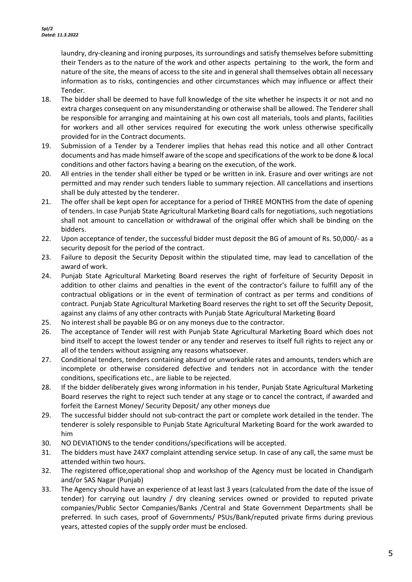laundry, dry-cleaning and ironing purposes, its surroundings and satisfy themselves before submitting their Tenders as to the nature of the work and other aspects pertaining to the work, the form and nature of the site, the means of access to the site and in general shall themselves obtain all necessary information as to risks, contingencies and other circumstances which may influence or affect their Tender.

- 18. The bidder shall be deemed to have full knowledge of the site whether he inspects it or not and no extra charges consequent on any misunderstanding or otherwise shall be allowed. The Tenderer shall be responsible for arranging and maintaining at his own cost all materials, tools and plants, facilities for workers and all other services required for executing the work unless otherwise specifically provided for in the Contract documents.
- 19. Submission of a Tender by a Tenderer implies that hehas read this notice and all other Contract documents and has made himself aware of the scope and specifications of the work to be done & local conditions and other factors having a bearing on the execution, of the work.
- 20. All entries in the tender shall either be typed or be written in ink. Erasure and over writings are not permitted and may render such tenders liable to summary rejection. All cancellations and insertions shall be duly attested by the tenderer.
- 21. The offer shall be kept open for acceptance for a period of THREE MONTHS from the date of opening of tenders. In case Punjab State Agricultural Marketing Board calls for negotiations, such negotiations shall not amount to cancellation or withdrawal of the original offer which shall be binding on the bidders.
- 22. Upon acceptance of tender, the successful bidder must deposit the BG of amount of Rs. 50,000/- as a security deposit for the period of the contract.
- 23. Failure to deposit the Security Deposit within the stipulated time, may lead to cancellation of the award of work.
- 24. Punjab State Agricultural Marketing Board reserves the right of forfeiture of Security Deposit in addition to other claims and penalties in the event of the contractor's failure to fulfill any of the contractual obligations or in the event of termination of contract as per terms and conditions of contract. Punjab State Agricultural Marketing Board reserves the right to set off the Security Deposit, against any claims of any other contracts with Punjab State Agricultural Marketing Board
- 25. No interest shall be payable BG or on any moneys due to the contractor.
- 26. The acceptance of Tender will rest with Punjab State Agricultural Marketing Board which does not bind itself to accept the lowest tender or any tender and reserves to itself full rights to reject any or all of the tenders without assigning any reasons whatsoever.
- 27. Conditional tenders, tenders containing absurd or unworkable rates and amounts, tenders which are incomplete or otherwise considered defective and tenders not in accordance with the tender conditions, specifications etc., are liable to be rejected.
- 28. If the bidder deliberately gives wrong information in his tender, Punjab State Agricultural Marketing Board reserves the right to reject such tender at any stage or to cancel the contract, if awarded and forfeit the Earnest Money/ Security Deposit/ any other moneys due
- 29. The successful bidder should not sub-contract the part or complete work detailed in the tender. The tenderer is solely responsible to Punjab State Agricultural Marketing Board for the work awarded to him
- 30. NO DEVIATIONS to the tender conditions/specifications will be accepted.
- 31. The bidders must have 24X7 complaint attending service setup. In case of any call, the same must be attended within two hours.
- 32. The registered office,operational shop and workshop of the Agency must be located in Chandigarh and/or SAS Nagar (Punjab)
- 33. The Agency should have an experience of at least last 3 years (calculated from the date of the issue of tender) for carrying out laundry / dry cleaning services owned or provided to reputed private companies/Public Sector Companies/Banks /Central and State Government Departments shall be preferred. In such cases, proof of Governments/ PSUs/Bank/reputed private firms during previous years, attested copies of the supply order must be enclosed.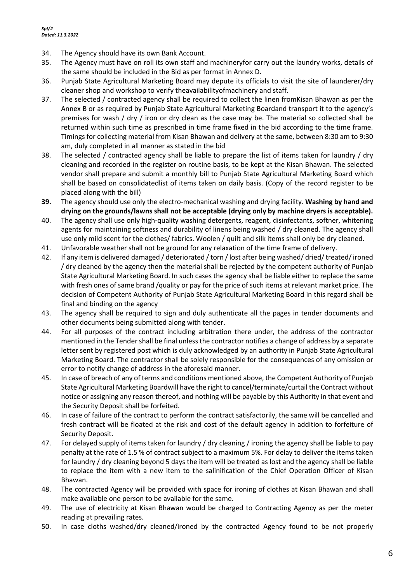- 34. The Agency should have its own Bank Account.
- 35. The Agency must have on roll its own staff and machineryfor carry out the laundry works, details of the same should be included in the Bid as per format in Annex D.
- 36. Punjab State Agricultural Marketing Board may depute its officials to visit the site of launderer/dry cleaner shop and workshop to verify theavailabilityofmachinery and staff.
- 37. The selected / contracted agency shall be required to collect the linen fromKisan Bhawan as per the Annex B or as required by Punjab State Agricultural Marketing Boardand transport it to the agency's premises for wash / dry / iron or dry clean as the case may be. The material so collected shall be returned within such time as prescribed in time frame fixed in the bid according to the time frame. Timings for collecting material from Kisan Bhawan and delivery at the same, between 8:30 am to 9:30 am, duly completed in all manner as stated in the bid
- 38. The selected / contracted agency shall be liable to prepare the list of items taken for laundry / dry cleaning and recorded in the register on routine basis, to be kept at the Kisan Bhawan. The selected vendor shall prepare and submit a monthly bill to Punjab State Agricultural Marketing Board which shall be based on consolidatedlist of items taken on daily basis. (Copy of the record register to be placed along with the bill)
- **39.** The agency should use only the electro-mechanical washing and drying facility. **Washing by hand and drying on the grounds/lawns shall not be acceptable (drying only by machine dryers is acceptable).**
- 40. The agency shall use only high-quality washing detergents, reagent, disinfectants, softner, whitening agents for maintaining softness and durability of linens being washed / dry cleaned. The agency shall use only mild scent for the clothes/ fabrics. Woolen / quilt and silk items shall only be dry cleaned.
- 41. Unfavorable weather shall not be ground for any relaxation of the time frame of delivery.
- 42. If any item is delivered damaged / deteriorated / torn / lost after being washed/ dried/ treated/ ironed / dry cleaned by the agency then the material shall be rejected by the competent authority of Punjab State Agricultural Marketing Board. In such cases the agency shall be liable either to replace the same with fresh ones of same brand /quality or pay for the price of such items at relevant market price. The decision of Competent Authority of Punjab State Agricultural Marketing Board in this regard shall be final and binding on the agency
- 43. The agency shall be required to sign and duly authenticate all the pages in tender documents and other documents being submitted along with tender.
- 44. For all purposes of the contract including arbitration there under, the address of the contractor mentioned in the Tender shall be final unless the contractor notifies a change of address by a separate letter sent by registered post which is duly acknowledged by an authority in Punjab State Agricultural Marketing Board. The contractor shall be solely responsible for the consequences of any omission or error to notify change of address in the aforesaid manner.
- 45. In case of breach of any of terms and conditions mentioned above, the Competent Authority of Punjab State Agricultural Marketing Boardwill have the right to cancel/terminate/curtail the Contract without notice or assigning any reason thereof, and nothing will be payable by this Authority in that event and the Security Deposit shall be forfeited.
- 46. In case of failure of the contract to perform the contract satisfactorily, the same will be cancelled and fresh contract will be floated at the risk and cost of the default agency in addition to forfeiture of Security Deposit.
- 47. For delayed supply of items taken for laundry / dry cleaning / ironing the agency shall be liable to pay penalty at the rate of 1.5 % of contract subject to a maximum 5%. For delay to deliver the items taken for laundry / dry cleaning beyond 5 days the item will be treated as lost and the agency shall be liable to replace the item with a new item to the salinification of the Chief Operation Officer of Kisan Bhawan.
- 48. The contracted Agency will be provided with space for ironing of clothes at Kisan Bhawan and shall make available one person to be available for the same.
- 49. The use of electricity at Kisan Bhawan would be charged to Contracting Agency as per the meter reading at prevailing rates.
- 50. In case cloths washed/dry cleaned/ironed by the contracted Agency found to be not properly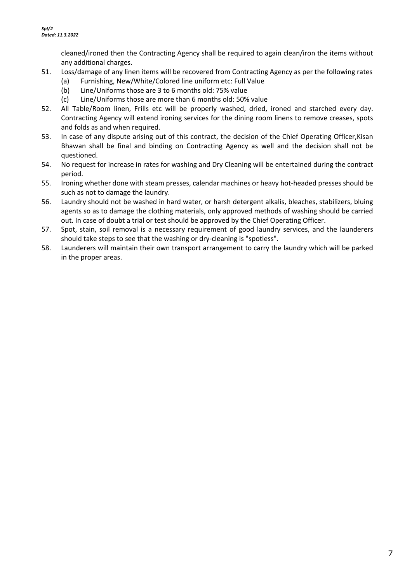cleaned/ironed then the Contracting Agency shall be required to again clean/iron the items without any additional charges.

- 51. Loss/damage of any linen items will be recovered from Contracting Agency as per the following rates
	- (a) Furnishing, New/White/Colored line uniform etc: Full Value
	- (b) Line/Uniforms those are 3 to 6 months old: 75% value
	- (c) Line/Uniforms those are more than 6 months old: 50% value
- 52. All Table/Room linen, Frills etc will be properly washed, dried, ironed and starched every day. Contracting Agency will extend ironing services for the dining room linens to remove creases, spots and folds as and when required.
- 53. In case of any dispute arising out of this contract, the decision of the Chief Operating Officer,Kisan Bhawan shall be final and binding on Contracting Agency as well and the decision shall not be questioned.
- 54. No request for increase in rates for washing and Dry Cleaning will be entertained during the contract period.
- 55. Ironing whether done with steam presses, calendar machines or heavy hot-headed presses should be such as not to damage the laundry.
- 56. Laundry should not be washed in hard water, or harsh detergent alkalis, bleaches, stabilizers, bluing agents so as to damage the clothing materials, only approved methods of washing should be carried out. In case of doubt a trial or test should be approved by the Chief Operating Officer.
- 57. Spot, stain, soil removal is a necessary requirement of good laundry services, and the launderers should take steps to see that the washing or dry-cleaning is "spotless".
- 58. Launderers will maintain their own transport arrangement to carry the laundry which will be parked in the proper areas.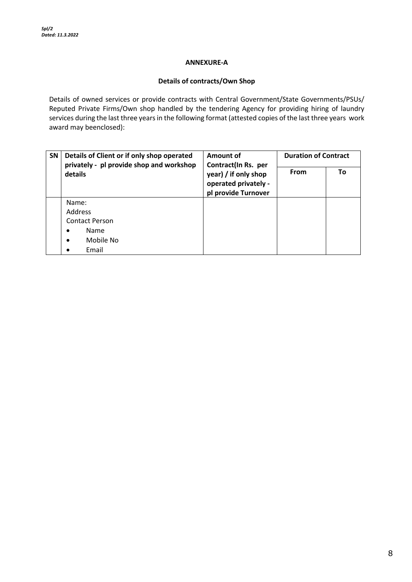#### **ANNEXURE-A**

#### **Details of contracts/Own Shop**

Details of owned services or provide contracts with Central Government/State Governments/PSUs/ Reputed Private Firms/Own shop handled by the tendering Agency for providing hiring of laundry services during the last three years in the following format (attested copies of the last three years work award may beenclosed):

| <b>SN</b> | Details of Client or if only shop operated<br>privately - pl provide shop and workshop | Amount of<br>Contract(In Rs. per                                    | <b>Duration of Contract</b> |    |
|-----------|----------------------------------------------------------------------------------------|---------------------------------------------------------------------|-----------------------------|----|
|           | details                                                                                | year) / if only shop<br>operated privately -<br>pl provide Turnover | From                        | To |
|           | Name:                                                                                  |                                                                     |                             |    |
|           | Address                                                                                |                                                                     |                             |    |
|           | <b>Contact Person</b>                                                                  |                                                                     |                             |    |
|           | Name<br>٠                                                                              |                                                                     |                             |    |
|           | Mobile No<br>$\bullet$                                                                 |                                                                     |                             |    |
|           | Email                                                                                  |                                                                     |                             |    |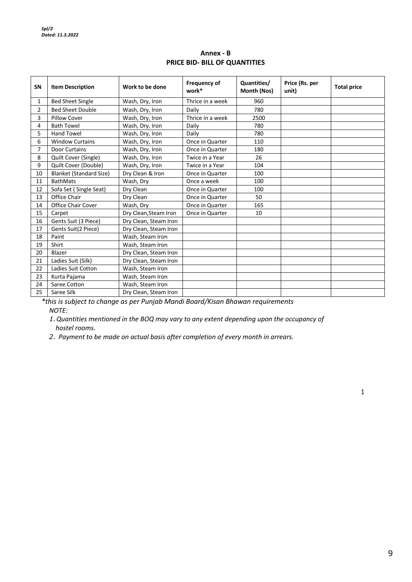**Annex - B PRICE BID- BILL OF QUANTITIES**

| SN             | <b>Item Description</b>        | Work to be done       | Frequency of<br>work* | Quantities/<br>Month (Nos) | Price (Rs. per<br>unit) | <b>Total price</b> |
|----------------|--------------------------------|-----------------------|-----------------------|----------------------------|-------------------------|--------------------|
| $\mathbf{1}$   | <b>Bed Sheet Single</b>        | Wash, Dry, Iron       | Thrice in a week      | 960                        |                         |                    |
| $\overline{2}$ | <b>Bed Sheet Double</b>        | Wash, Dry, Iron       | Daily                 | 780                        |                         |                    |
| 3              | <b>Pillow Cover</b>            | Wash, Dry, Iron       | Thrice in a week      | 2500                       |                         |                    |
| 4              | <b>Bath Towel</b>              | Wash, Dry, Iron       | Daily                 | 780                        |                         |                    |
| 5              | <b>Hand Towel</b>              | Wash, Dry, Iron       | Daily                 | 780                        |                         |                    |
| 6              | <b>Window Curtains</b>         | Wash, Dry, Iron       | Once in Quarter       | 110                        |                         |                    |
| 7              | <b>Door Curtains</b>           | Wash, Dry, Iron       | Once in Quarter       | 180                        |                         |                    |
| 8              | Quilt Cover (Single)           | Wash, Dry, Iron       | Twice in a Year       | 26                         |                         |                    |
| 9              | Quilt Cover (Double)           | Wash, Dry, Iron       | Twice in a Year       | 104                        |                         |                    |
| 10             | <b>Blanket (Standard Size)</b> | Dry Clean & Iron      | Once in Quarter       | 100                        |                         |                    |
| 11             | <b>BathMats</b>                | Wash, Dry             | Once a week           | 100                        |                         |                    |
| 12             | Sofa Set (Single Seat)         | Dry Clean             | Once in Quarter       | 100                        |                         |                    |
| 13             | Office Chair                   | Dry Clean             | Once in Quarter       | 50                         |                         |                    |
| 14             | <b>Office Chair Cover</b>      | Wash, Dry             | Once in Quarter       | 165                        |                         |                    |
| 15             | Carpet                         | Dry Clean, Steam Iron | Once in Quarter       | 10                         |                         |                    |
| 16             | Gents Suit (3 Piece)           | Dry Clean, Steam Iron |                       |                            |                         |                    |
| 17             | Gents Suit(2 Piece)            | Dry Clean, Steam Iron |                       |                            |                         |                    |
| 18             | Paint                          | Wash, Steam Iron      |                       |                            |                         |                    |
| 19             | Shirt                          | Wash, Steam Iron      |                       |                            |                         |                    |
| 20             | Blazer                         | Dry Clean, Steam Iron |                       |                            |                         |                    |
| 21             | Ladies Suit (Silk)             | Dry Clean, Steam Iron |                       |                            |                         |                    |
| 22             | Ladies Suit Cotton             | Wash, Steam Iron      |                       |                            |                         |                    |
| 23             | Kurta Pajama                   | Wash, Steam Iron      |                       |                            |                         |                    |
| 24             | Saree Cotton                   | Wash, Steam Iron      |                       |                            |                         |                    |
| 25             | Saree Silk                     | Dry Clean, Steam Iron |                       |                            |                         |                    |

*\*this is subject to change as per Punjab Mandi Board/Kisan Bhawan requirements NOTE:*

*1.Quantities mentioned in the BOQ may vary to any extent depending upon the occupancy of hostel rooms.*

*2. Payment to be made on actual basis after completion of every month in arrears.*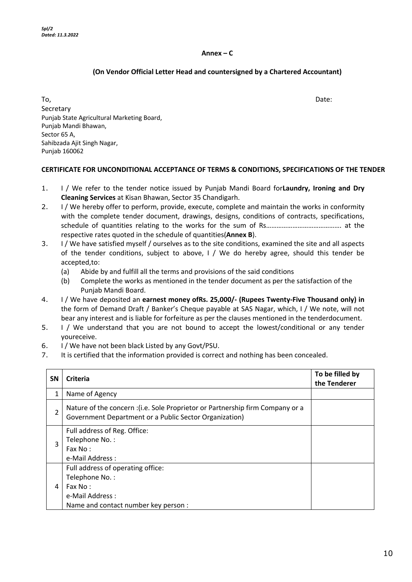#### **Annex – C**

#### **(On Vendor Official Letter Head and countersigned by a Chartered Accountant)**

To, the contract of the contract of the contract of the contract of the contract of the Date: Secretary Punjab State Agricultural Marketing Board, Punjab Mandi Bhawan, Sector 65 A, Sahibzada Ajit Singh Nagar, Punjab 160062

#### **CERTIFICATE FOR UNCONDITIONAL ACCEPTANCE OF TERMS & CONDITIONS, SPECIFICATIONS OF THE TENDER**

- 1. I / We refer to the tender notice issued by Punjab Mandi Board for**Laundry, Ironing and Dry Cleaning Services** at Kisan Bhawan, Sector 35 Chandigarh.
- 2. I / We hereby offer to perform, provide, execute, complete and maintain the works in conformity with the complete tender document, drawings, designs, conditions of contracts, specifications, schedule of quantities relating to the works for the sum of Rs……………………………………. at the respective rates quoted in the schedule of quantities(**Annex B**).
- 3. I / We have satisfied myself / ourselves as to the site conditions, examined the site and all aspects of the tender conditions, subject to above, I / We do hereby agree, should this tender be accepted,to:
	- (a) Abide by and fulfill all the terms and provisions of the said conditions
	- (b) Complete the works as mentioned in the tender document as per the satisfaction of the Punjab Mandi Board.
- 4. I / We have deposited an **earnest money ofRs. 25,000/- (Rupees Twenty-Five Thousand only) in** the form of Demand Draft / Banker's Cheque payable at SAS Nagar, which, I / We note, will not bear any interest and is liable for forfeiture as per the clauses mentioned in the tenderdocument.
- 5. I / We understand that you are not bound to accept the lowest/conditional or any tender youreceive.
- 6. I / We have not been black Listed by any Govt/PSU.
- 7. It is certified that the information provided is correct and nothing has been concealed.

| <b>SN</b> | Criteria                                                                                                                                 | To be filled by<br>the Tenderer |
|-----------|------------------------------------------------------------------------------------------------------------------------------------------|---------------------------------|
| 1         | Name of Agency                                                                                                                           |                                 |
| 2         | Nature of the concern : (i.e. Sole Proprietor or Partnership firm Company or a<br>Government Department or a Public Sector Organization) |                                 |
| 3         | Full address of Reg. Office:<br>Telephone No.:<br>Fax No:<br>e-Mail Address :                                                            |                                 |
| 4         | Full address of operating office:<br>Telephone No.:<br>Fax No:<br>e-Mail Address :<br>Name and contact number key person :               |                                 |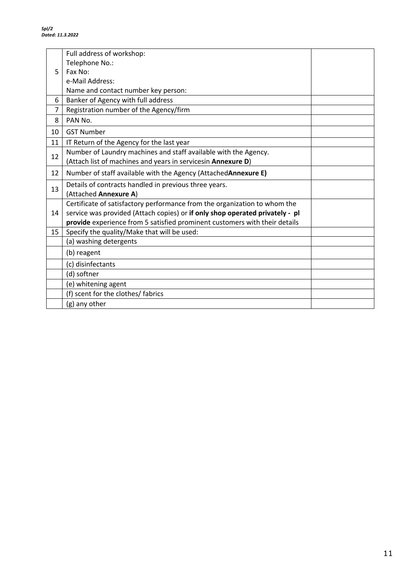|    | Full address of workshop:                                                    |  |  |
|----|------------------------------------------------------------------------------|--|--|
|    | Telephone No.:                                                               |  |  |
| 5  | Fax No:                                                                      |  |  |
|    | e-Mail Address:                                                              |  |  |
|    | Name and contact number key person:                                          |  |  |
| 6  | Banker of Agency with full address                                           |  |  |
| 7  | Registration number of the Agency/firm                                       |  |  |
| 8  | PAN No.                                                                      |  |  |
| 10 | <b>GST Number</b>                                                            |  |  |
| 11 | IT Return of the Agency for the last year                                    |  |  |
| 12 | Number of Laundry machines and staff available with the Agency.              |  |  |
|    | (Attach list of machines and years in servicesin Annexure D)                 |  |  |
| 12 | Number of staff available with the Agency (Attached Annexure E)              |  |  |
| 13 | Details of contracts handled in previous three years.                        |  |  |
|    | (Attached Annexure A)                                                        |  |  |
|    | Certificate of satisfactory performance from the organization to whom the    |  |  |
| 14 | service was provided (Attach copies) or if only shop operated privately - pl |  |  |
|    | provide experience from 5 satisfied prominent customers with their details   |  |  |
| 15 | Specify the quality/Make that will be used:                                  |  |  |
|    | (a) washing detergents                                                       |  |  |
|    | (b) reagent                                                                  |  |  |
|    | (c) disinfectants                                                            |  |  |
|    | (d) softner                                                                  |  |  |
|    | (e) whitening agent                                                          |  |  |
|    | (f) scent for the clothes/ fabrics                                           |  |  |
|    | (g) any other                                                                |  |  |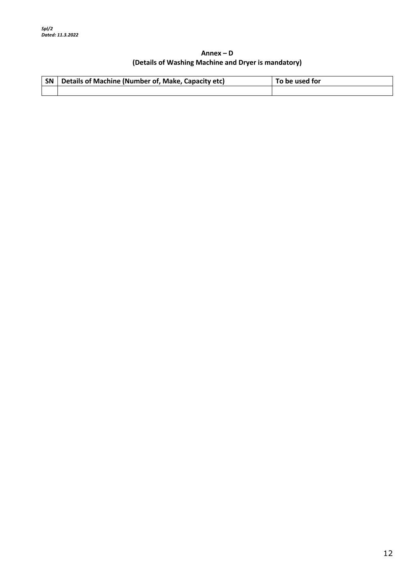#### **Annex – D (Details of Washing Machine and Dryer is mandatory)**

| SN Details of Machine (Number of, Make, Capacity etc) | To be used for |
|-------------------------------------------------------|----------------|
|                                                       |                |